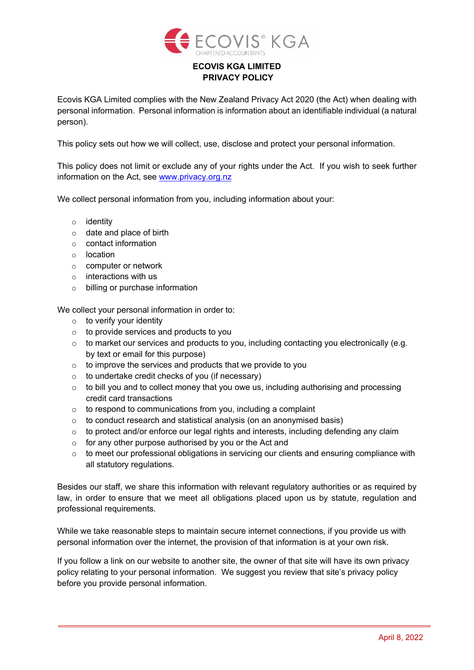

## **ECOVIS KGA LIMITED PRIVACY POLICY**

Ecovis KGA Limited complies with the New Zealand Privacy Act 2020 (the Act) when dealing with personal information. Personal information is information about an identifiable individual (a natural person).

This policy sets out how we will collect, use, disclose and protect your personal information.

This policy does not limit or exclude any of your rights under the Act. If you wish to seek further information on the Act, see [www.privacy.org.nz](http://www.privacy.org.nz/)

We collect personal information from you, including information about your:

- o identity
- o date and place of birth
- o contact information
- o location
- o computer or network
- o interactions with us
- o billing or purchase information

We collect your personal information in order to:

- $\circ$  to verify your identity
- o to provide services and products to you
- o to market our services and products to you, including contacting you electronically (e.g. by text or email for this purpose)
- o to improve the services and products that we provide to you
- o to undertake credit checks of you (if necessary)
- o to bill you and to collect money that you owe us, including authorising and processing credit card transactions
- o to respond to communications from you, including a complaint
- o to conduct research and statistical analysis (on an anonymised basis)
- o to protect and/or enforce our legal rights and interests, including defending any claim
- o for any other purpose authorised by you or the Act and
- o to meet our professional obligations in servicing our clients and ensuring compliance with all statutory regulations.

Besides our staff, we share this information with relevant regulatory authorities or as required by law, in order to ensure that we meet all obligations placed upon us by statute, regulation and professional requirements.

While we take reasonable steps to maintain secure internet connections, if you provide us with personal information over the internet, the provision of that information is at your own risk.

If you follow a link on our website to another site, the owner of that site will have its own privacy policy relating to your personal information. We suggest you review that site's privacy policy before you provide personal information.